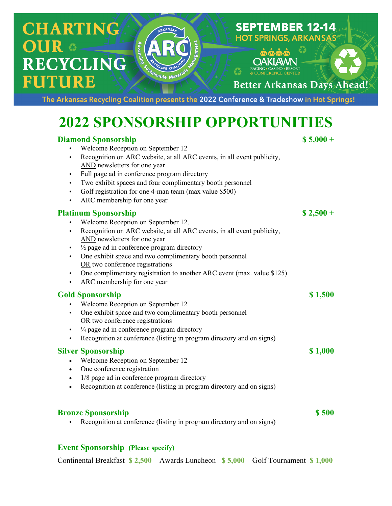# **CHARTING ECYCLING ITURE**

**Better Arkansas Days Ahead!** 

**SEPTEMBER 12-14 HOT SPRINGS, ARKANSAS** 

The Arkansas Recycling Coalition presents the 2022 Conference & Tradeshow in Hot Springs!

## **2022 SPONSORSHIP OPPORTUNITIES**

### **Diamond Sponsorship \$ 5,000 +**

- Welcome Reception on September 12
- Recognition on ARC website, at all ARC events, in all event publicity, AND newsletters for one year
- Full page ad in conference program directory
- Two exhibit spaces and four complimentary booth personnel
- Golf registration for one 4-man team (max value \$500)
- ARC membership for one year

### **Platinum Sponsorship \$ 2,500 +**

- Welcome Reception on September 12.
- Recognition on ARC website, at all ARC events, in all event publicity, AND newsletters for one year
- $\cdot$   $\frac{1}{2}$  page ad in conference program directory
- One exhibit space and two complimentary booth personnel OR two conference registrations
- One complimentary registration to another ARC event (max. value \$125)
- ARC membership for one year

### **Gold Sponsorship \$ 1,500**

- Welcome Reception on September 12
- One exhibit space and two complimentary booth personnel OR two conference registrations
- $\cdot$   $\frac{1}{4}$  page ad in conference program directory
- Recognition at conference (listing in program directory and on signs)

### **Silver Sponsorship \$** 1,000

- Welcome Reception on September 12
- One conference registration
- 1/8 page ad in conference program directory
- Recognition at conference (listing in program directory and on signs)

#### **Bronze Sponsorship \$ 500**

Recognition at conference (listing in program directory and on signs)

### **Event Sponsorship (Please specify)**

Continental Breakfast **\$ 2,500** Awards Luncheon **\$ 5,000** Golf Tournament **\$ 1,000**